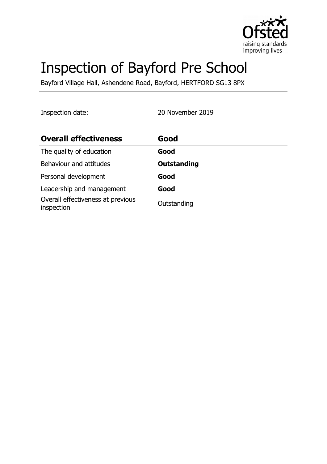

# Inspection of Bayford Pre School

Bayford Village Hall, Ashendene Road, Bayford, HERTFORD SG13 8PX

Inspection date: 20 November 2019

| <b>Overall effectiveness</b>                    | Good               |
|-------------------------------------------------|--------------------|
| The quality of education                        | Good               |
| Behaviour and attitudes                         | <b>Outstanding</b> |
| Personal development                            | Good               |
| Leadership and management                       | Good               |
| Overall effectiveness at previous<br>inspection | Outstanding        |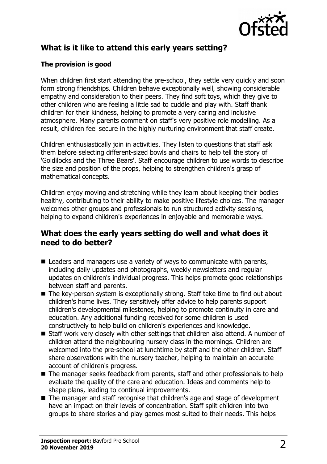

# **What is it like to attend this early years setting?**

## **The provision is good**

When children first start attending the pre-school, they settle very quickly and soon form strong friendships. Children behave exceptionally well, showing considerable empathy and consideration to their peers. They find soft toys, which they give to other children who are feeling a little sad to cuddle and play with. Staff thank children for their kindness, helping to promote a very caring and inclusive atmosphere. Many parents comment on staff's very positive role modelling. As a result, children feel secure in the highly nurturing environment that staff create.

Children enthusiastically join in activities. They listen to questions that staff ask them before selecting different-sized bowls and chairs to help tell the story of 'Goldilocks and the Three Bears'. Staff encourage children to use words to describe the size and position of the props, helping to strengthen children's grasp of mathematical concepts.

Children enjoy moving and stretching while they learn about keeping their bodies healthy, contributing to their ability to make positive lifestyle choices. The manager welcomes other groups and professionals to run structured activity sessions, helping to expand children's experiences in enjoyable and memorable ways.

## **What does the early years setting do well and what does it need to do better?**

- $\blacksquare$  Leaders and managers use a variety of ways to communicate with parents, including daily updates and photographs, weekly newsletters and regular updates on children's individual progress. This helps promote good relationships between staff and parents.
- $\blacksquare$  The key-person system is exceptionally strong. Staff take time to find out about children's home lives. They sensitively offer advice to help parents support children's developmental milestones, helping to promote continuity in care and education. Any additional funding received for some children is used constructively to help build on children's experiences and knowledge.
- $\blacksquare$  Staff work very closely with other settings that children also attend. A number of children attend the neighbouring nursery class in the mornings. Children are welcomed into the pre-school at lunchtime by staff and the other children. Staff share observations with the nursery teacher, helping to maintain an accurate account of children's progress.
- $\blacksquare$  The manager seeks feedback from parents, staff and other professionals to help evaluate the quality of the care and education. Ideas and comments help to shape plans, leading to continual improvements.
- The manager and staff recognise that children's age and stage of development have an impact on their levels of concentration. Staff split children into two groups to share stories and play games most suited to their needs. This helps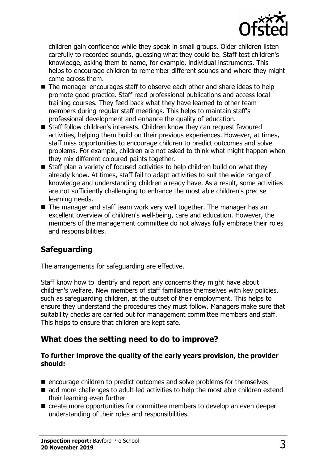

children gain confidence while they speak in small groups. Older children listen carefully to recorded sounds, guessing what they could be. Staff test children's knowledge, asking them to name, for example, individual instruments. This helps to encourage children to remember different sounds and where they might come across them.

- $\blacksquare$  The manager encourages staff to observe each other and share ideas to help promote good practice. Staff read professional publications and access local training courses. They feed back what they have learned to other team members during regular staff meetings. This helps to maintain staff's professional development and enhance the quality of education.
- Staff follow children's interests. Children know they can request favoured activities, helping them build on their previous experiences. However, at times, staff miss opportunities to encourage children to predict outcomes and solve problems. For example, children are not asked to think what might happen when they mix different coloured paints together.
- $\blacksquare$  Staff plan a variety of focused activities to help children build on what they already know. At times, staff fail to adapt activities to suit the wide range of knowledge and understanding children already have. As a result, some activities are not sufficiently challenging to enhance the most able children's precise learning needs.
- The manager and staff team work very well together. The manager has an excellent overview of children's well-being, care and education. However, the members of the management committee do not always fully embrace their roles and responsibilities.

# **Safeguarding**

The arrangements for safeguarding are effective.

Staff know how to identify and report any concerns they might have about children's welfare. New members of staff familiarise themselves with key policies, such as safeguarding children, at the outset of their employment. This helps to ensure they understand the procedures they must follow. Managers make sure that suitability checks are carried out for management committee members and staff. This helps to ensure that children are kept safe.

# **What does the setting need to do to improve?**

#### **To further improve the quality of the early years provision, the provider should:**

- $\blacksquare$  encourage children to predict outcomes and solve problems for themselves
- $\blacksquare$  add more challenges to adult-led activities to help the most able children extend their learning even further
- $\blacksquare$  create more opportunities for committee members to develop an even deeper understanding of their roles and responsibilities.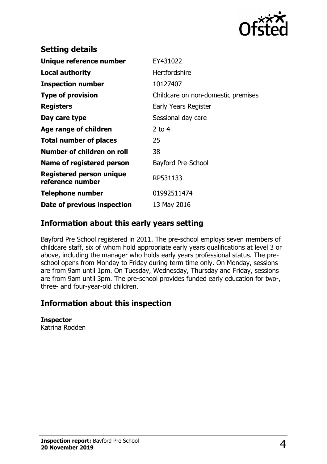

| <b>Setting details</b>                              |                                    |
|-----------------------------------------------------|------------------------------------|
| Unique reference number                             | EY431022                           |
| Local authority                                     | <b>Hertfordshire</b>               |
| <b>Inspection number</b>                            | 10127407                           |
| <b>Type of provision</b>                            | Childcare on non-domestic premises |
| <b>Registers</b>                                    | Early Years Register               |
| Day care type                                       | Sessional day care                 |
| Age range of children                               | 2 to $4$                           |
| <b>Total number of places</b>                       | 25                                 |
| Number of children on roll                          | 38                                 |
| Name of registered person                           | Bayford Pre-School                 |
| <b>Registered person unique</b><br>reference number | RP531133                           |
| <b>Telephone number</b>                             | 01992511474                        |
| Date of previous inspection                         | 13 May 2016                        |
|                                                     |                                    |

## **Information about this early years setting**

Bayford Pre School registered in 2011. The pre-school employs seven members of childcare staff, six of whom hold appropriate early years qualifications at level 3 or above, including the manager who holds early years professional status. The preschool opens from Monday to Friday during term time only. On Monday, sessions are from 9am until 1pm. On Tuesday, Wednesday, Thursday and Friday, sessions are from 9am until 3pm. The pre-school provides funded early education for two-, three- and four-year-old children.

## **Information about this inspection**

#### **Inspector**

Katrina Rodden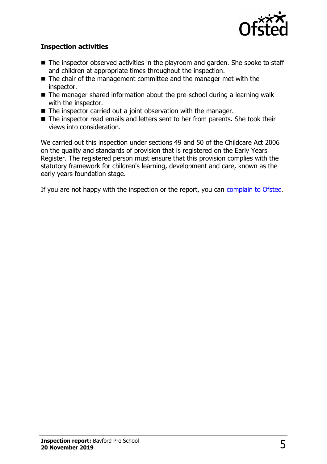

### **Inspection activities**

- $\blacksquare$  The inspector observed activities in the playroom and garden. She spoke to staff and children at appropriate times throughout the inspection.
- $\blacksquare$  The chair of the management committee and the manager met with the inspector.
- $\blacksquare$  The manager shared information about the pre-school during a learning walk with the inspector.
- $\blacksquare$  The inspector carried out a joint observation with the manager.
- The inspector read emails and letters sent to her from parents. She took their views into consideration.

We carried out this inspection under sections 49 and 50 of the Childcare Act 2006 on the quality and standards of provision that is registered on the Early Years Register. The registered person must ensure that this provision complies with the statutory framework for children's learning, development and care, known as the early years foundation stage.

If you are not happy with the inspection or the report, you can [complain to Ofsted.](http://www.gov.uk/complain-ofsted-report)